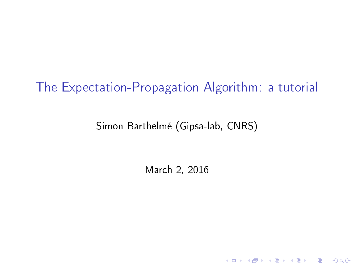#### The Expectation-Propagation Algorithm: a tutorial

#### Simon Barthelmé (Gipsa-lab, CNRS)

March 2, 2016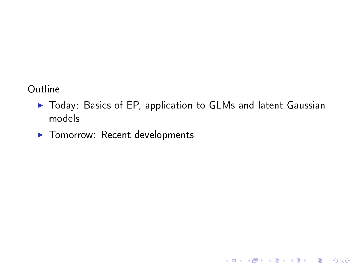#### Outline

▶ Today: Basics of EP, application to GLMs and latent Gaussian models

K ロ ▶ K 레 ▶ K 레 ▶ K 레 ≯ K 게 회 게 이 및 사 이 의 O

▶ Tomorrow: Recent developments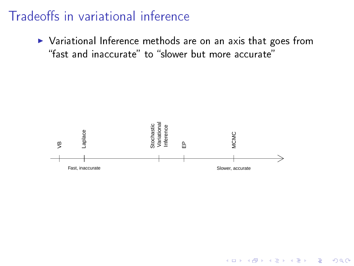#### Tradeoffs in variational inference

 $\triangleright$  Variational Inference methods are on an axis that goes from "fast and inaccurate" to "slower but more accurate"



K ロ ▶ K @ ▶ K 할 ▶ K 할 ▶ 이 할 → 9 Q @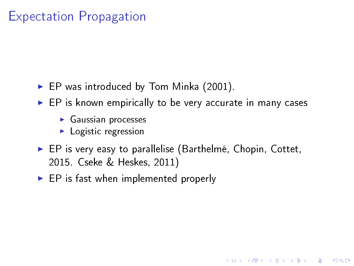### Expectation Propagation

- $\blacktriangleright$  EP was introduced by Tom Minka (2001).
- $\blacktriangleright$  EP is known empirically to be very accurate in many cases
	- $\blacktriangleright$  Gaussian processes
	- $\blacktriangleright$  Logistic regression
- $\blacktriangleright$  EP is very easy to parallelise (Barthelmé, Chopin, Cottet, 2015. Cseke & Heskes, 2011)

**KORK STRAIN ABY COMPARI** 

 $\blacktriangleright$  EP is fast when implemented properly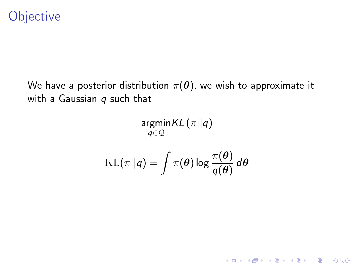### **Objective**

We have a posterior distribution  $\pi(\theta)$ , we wish to approximate it with a Gaussian  $q$  such that

$$
\mathop{\mathrm{argmin}}_{q \in \mathcal{Q}} KL(\pi || q)
$$
  
KL $(\pi || q) = \int \pi(\theta) \log \frac{\pi(\theta)}{q(\theta)} d\theta$ 

 $K = \frac{1}{2}$  (π)  $K = \frac{1}{2}$ 

K ロ X (日) X (日) X (日) X (日) X (日) X (日) X (日) X (日) X (日) X (日) X (日) X (日)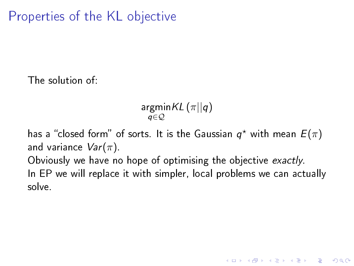### Properties of the KL objective

The solution of:

argmin $\mathcal{K} L\left(\pi||q\right)$ q∈Q

has a "closed form" of sorts. It is the Gaussian  $q^*$  with mean  $E(\pi)$ and variance  $Var(\pi)$ .

Obviously we have no hope of optimising the objective exactly.

In EP we will replace it with simpler, local problems we can actually solve.

**KORK STRAIN ABY COMPARI**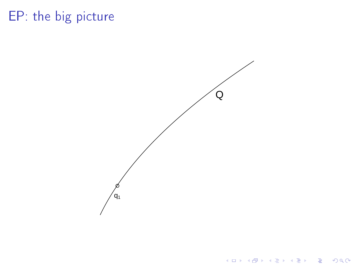Q ●  $q_1$ 

**メロトメ 伊 トメ ミトメ ミトリー ミー りんぴ**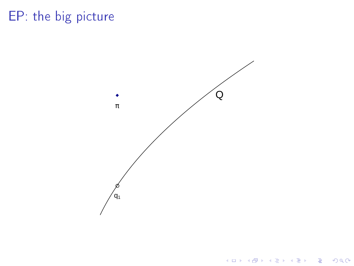

K ロ X K (P) X (E) X (E) X (E) X (P) X (P)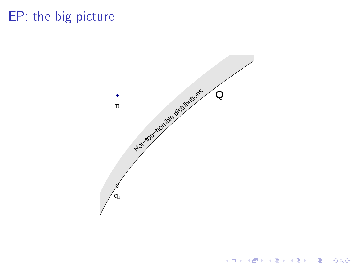

K ロ K K 個 K K 플 K K 플 K ( 플 )  $2990$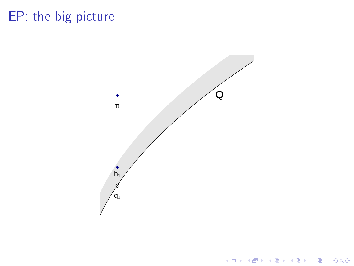

 $2990$ メロメ メ団メ メミメ メミメー 重し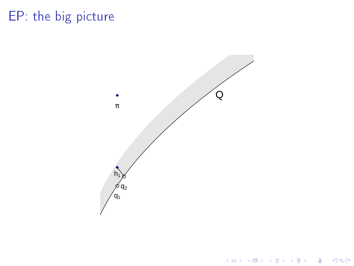

 $2990$ メロト メタト メミト メミト 重し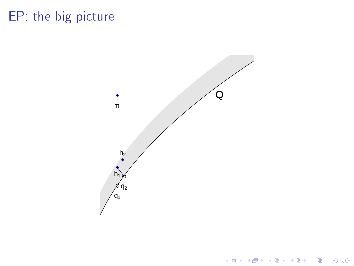

 $2990$ メロト メタト メミト メミト 重し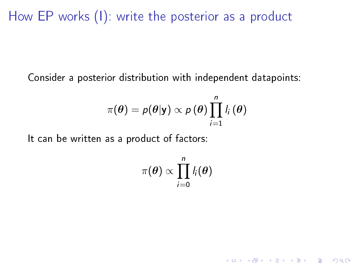How EP works (I): write the posterior as a product

Consider a posterior distribution with independent datapoints:

$$
\pi(\boldsymbol{\theta}) = p(\boldsymbol{\theta}|\mathsf{y}) \propto p(\boldsymbol{\theta}) \prod_{i=1}^n l_i(\boldsymbol{\theta})
$$

It can be written as a product of factors:

$$
\pi(\boldsymbol{\theta}) \propto \prod_{i=0}^n l_i(\boldsymbol{\theta})
$$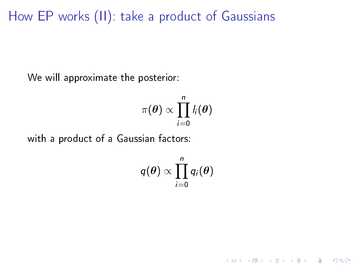How EP works (II): take a product of Gaussians

We will approximate the posterior:

$$
\pi(\boldsymbol{\theta}) \propto \prod_{i=0}^n l_i(\boldsymbol{\theta})
$$

with a product of a Gaussian factors:

$$
q(\boldsymbol{\theta}) \propto \prod_{i=0}^n q_i(\boldsymbol{\theta})
$$

K ロ ▶ K 레 ▶ K 레 ▶ K 레 ≯ K 게 회 게 이 및 사 이 의 O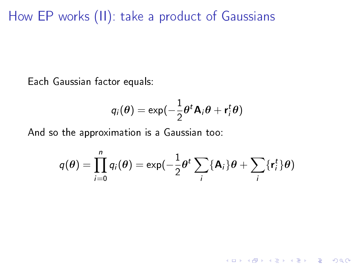How EP works (II): take a product of Gaussians

Each Gaussian factor equals:

$$
q_i(\boldsymbol{\theta}) = \exp(-\frac{1}{2}\boldsymbol{\theta}^t\mathbf{A}_i\boldsymbol{\theta} + \mathbf{r}_i^t\boldsymbol{\theta})
$$

And so the approximation is a Gaussian too:

$$
q(\theta) = \prod_{i=0}^{n} q_i(\theta) = \exp(-\frac{1}{2}\theta^t \sum_i \{A_i\}\theta + \sum_i \{r_i^t\}\theta)
$$

K ロ ▶ K 레 ▶ K 레 ▶ K 레 ≯ K 게 회 게 이 및 사 이 의 O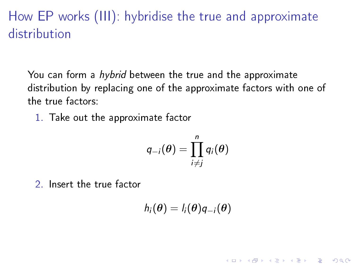### How EP works (III): hybridise the true and approximate distribution

You can form a hybrid between the true and the approximate distribution by replacing one of the approximate factors with one of the true factors:

1. Take out the approximate factor

$$
q_{-i}(\boldsymbol{\theta}) = \prod_{i \neq j}^{n} q_i(\boldsymbol{\theta})
$$

2. Insert the true factor

$$
h_i(\boldsymbol{\theta}) = l_i(\boldsymbol{\theta}) q_{-i}(\boldsymbol{\theta})
$$

**KORK STRAIN ABY COMPARI**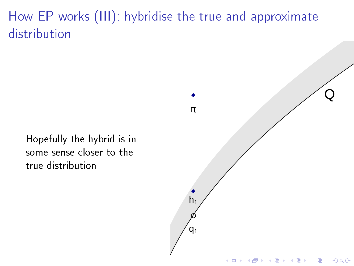### How EP works (III): hybridise the true and approximate distribution

Hopefully the hybrid is in some sense closer to the true distribution

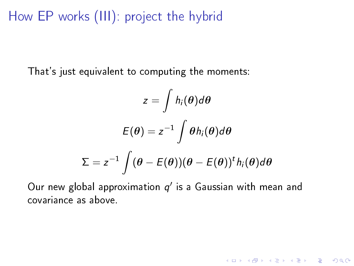How EP works (III): project the hybrid

That's just equivalent to computing the moments:

$$
z = \int h_i(\theta) d\theta
$$

$$
E(\theta) = z^{-1} \int \theta h_i(\theta) d\theta
$$

$$
\Sigma = z^{-1} \int (\theta - E(\theta)) (\theta - E(\theta))^t h_i(\theta) d\theta
$$

Our new global approximation  $q'$  is a Gaussian with mean and covariance as above.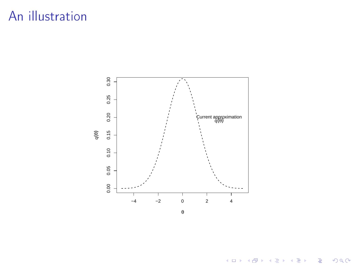

メロト メタト メミト メミト  $\equiv$  990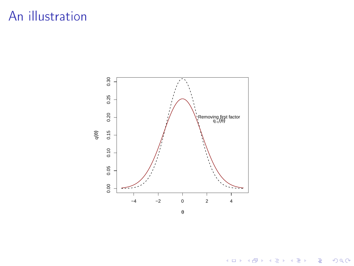

**メロトメ都トメミトメミト (ミ) の女々**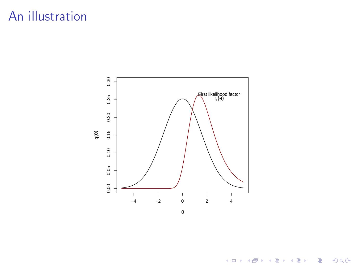

**メロトメ 御 トメミト メミト ニミー つんぴ**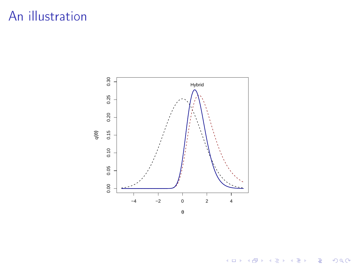

メロト メタト メミト メミト

 $290$ 

È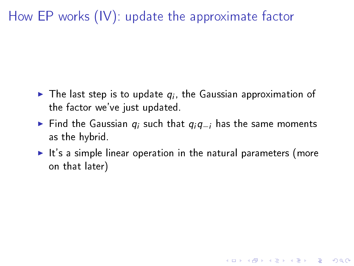### How EP works (IV): update the approximate factor

- $\blacktriangleright$  The last step is to update  $q_i$ , the Gaussian approximation of the factor we've just updated.
- ► Find the Gaussian  $q_i$  such that  $q_iq_{-i}$  has the same moments as the hybrid.
- $\blacktriangleright$  It's a simple linear operation in the natural parameters (more on that later)

K ロ ▶ K 레 ▶ K 레 ▶ K 레 ≯ K 게 회 게 이 및 사 이 의 O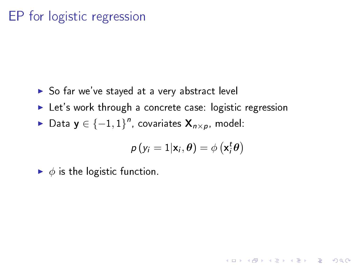### EP for logistic regression

- $\triangleright$  So far we've stayed at a very abstract level
- $\blacktriangleright$  Let's work through a concrete case: logistic regression
- ► Data y  $\in \{-1,1\}^n$ , covariates  $\mathsf{X}_{n\times p}$ , model:

$$
\rho(y_i=1|\mathbf{x}_i,\boldsymbol{\theta})=\phi\left(\mathbf{x}_i^t\boldsymbol{\theta}\right)
$$

**KORKA REPARATION ADD** 

 $\blacktriangleright$   $\phi$  is the logistic function.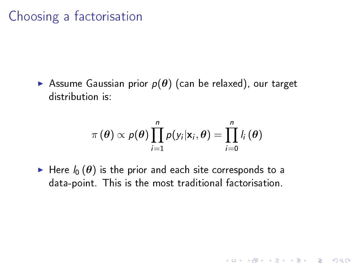Assume Gaussian prior  $p(\theta)$  (can be relaxed), our target distribution is:

$$
\pi\left(\boldsymbol{\theta}\right)\propto p(\boldsymbol{\theta})\prod_{i=1}^{n}p(y_{i}|\mathbf{x}_{i},\boldsymbol{\theta})=\prod_{i=0}^{n}l_{i}\left(\boldsymbol{\theta}\right)
$$

K ロ ▶ K 레 ▶ K 레 ▶ K 레 ≯ K 게 회 게 이 및 사 이 의 O

Here  $I_0(\theta)$  is the prior and each site corresponds to a data-point. This is the most traditional factorisation.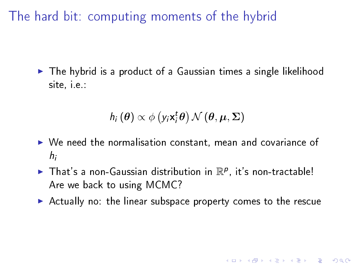The hard bit: computing moments of the hybrid

 $\blacktriangleright$  The hybrid is a product of a Gaussian times a single likelihood site, i.e.:

$$
h_i(\boldsymbol{\theta}) \propto \phi\left(y_i \mathbf{x}_i^t \boldsymbol{\theta}\right) \mathcal{N}\left(\boldsymbol{\theta}, \boldsymbol{\mu}, \boldsymbol{\Sigma}\right)
$$

- $\triangleright$  We need the normalisation constant, mean and covariance of hi
- In That's a non-Gaussian distribution in  $\mathbb{R}^p$ , it's non-tractable! Are we back to using MCMC?
- $\triangleright$  Actually no: the linear subspace property comes to the rescue

**KORK STRAIN ABY COMPARI**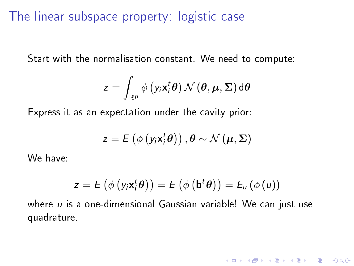The linear subspace property: logistic case

Start with the normalisation constant. We need to compute:

$$
z = \int_{\mathbb{R}^p} \phi\left(y_i \mathbf{x}_i^t \boldsymbol{\theta}\right) \mathcal{N}\left(\boldsymbol{\theta}, \boldsymbol{\mu}, \boldsymbol{\Sigma}\right) d\boldsymbol{\theta}
$$

Express it as an expectation under the cavity prior:

$$
z = E\left(\phi\left(y_i \mathbf{x}_i^t \boldsymbol{\theta}\right)\right), \boldsymbol{\theta} \sim \mathcal{N}\left(\boldsymbol{\mu}, \boldsymbol{\Sigma}\right)
$$

We have:

$$
z = E\left(\phi\left(y_i \mathbf{x}_i^t \boldsymbol{\theta}\right)\right) = E\left(\phi\left(\mathbf{b}^t \boldsymbol{\theta}\right)\right) = E_u\left(\phi\left(u\right)\right)
$$

**KORK STRAIN ABY COMPARI** 

where  $u$  is a one-dimensional Gaussian variable! We can just use quadrature.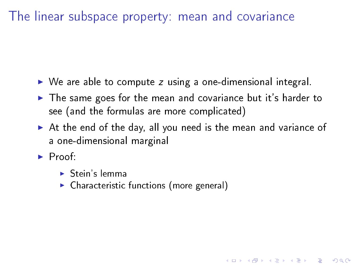The linear subspace property: mean and covariance

- $\triangleright$  We are able to compute z using a one-dimensional integral.
- $\blacktriangleright$  The same goes for the mean and covariance but it's harder to see (and the formulas are more complicated)
- $\blacktriangleright$  At the end of the day, all you need is the mean and variance of a one-dimensional marginal

**KORK STRAIN ABY COMPARI** 

- $\blacktriangleright$  Proof:
	- $\blacktriangleright$  Stein's lemma
	- $\triangleright$  Characteristic functions (more general)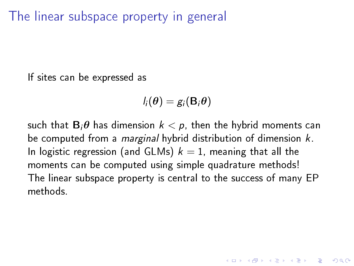The linear subspace property in general

If sites can be expressed as

$$
l_i(\boldsymbol{\theta}) = g_i(\mathbf{B}_i \boldsymbol{\theta})
$$

such that  $\mathbf{B}_i\boldsymbol{\theta}$  has dimension  $k < p$ , then the hybrid moments can be computed from a *marginal* hybrid distribution of dimension k. In logistic regression (and GLMs)  $k = 1$ , meaning that all the moments can be computed using simple quadrature methods! The linear subspace property is central to the success of many EP methods.

**KORKAR KERKER EL VOLO**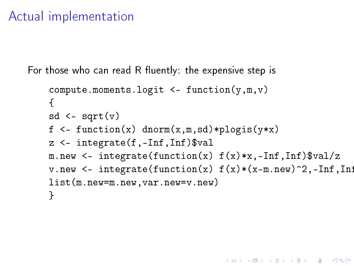#### Actual implementation

For those who can read  $R$  fluently: the expensive step is

```
compute.moments.logit \leq function(y,m,v)
{
sd \leftarrow sqrt(v)f \leq function(x) dnorm(x,m,sd)*plogis(y*x)
z <- integrate(f,-Inf,Inf)$val
m.new \leq integrate(function(x) f(x)*x, -Inf, Inf)$val/z
v.new <- integrate(function(x) f(x)*(x-m.new)^2,-Inf,In:
list(m.new=m.new,var.new=v.new)
}
```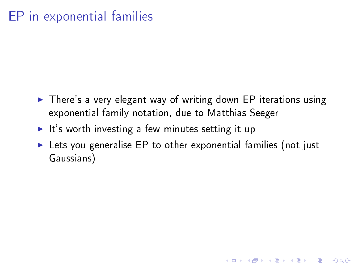### EP in exponential families

- $\triangleright$  There's a very elegant way of writing down EP iterations using exponential family notation, due to Matthias Seeger
- It's worth investing a few minutes setting it up
- $\blacktriangleright$  Lets you generalise EP to other exponential families (not just Gaussians)

K ロ ▶ K 레 ▶ K 레 ▶ K 레 ≯ K 게 회 게 이 및 사 이 의 O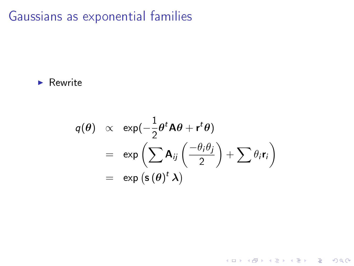Gaussians as exponential families

 $\blacktriangleright$  Rewrite

$$
q(\theta) \propto \exp(-\frac{1}{2}\theta^t \mathbf{A} \theta + \mathbf{r}^t \theta)
$$
  
= 
$$
\exp\left(\sum \mathbf{A}_{ij}\left(\frac{-\theta_i \theta_j}{2}\right) + \sum \theta_i \mathbf{r}_i\right)
$$
  
= 
$$
\exp\left(\mathbf{s}(\theta)^t \mathbf{\lambda}\right)
$$

K ロ ▶ K @ ▶ K 할 ▶ K 할 ▶ | 할 | X 9 Q @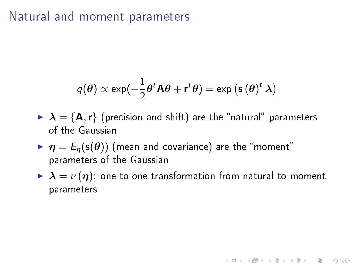#### Natural and moment parameters

$$
q(\boldsymbol{\theta}) \propto \exp(-\frac{1}{2}\boldsymbol{\theta}^t \mathbf{A} \boldsymbol{\theta} + \mathbf{r}^t \boldsymbol{\theta}) = \exp(\mathbf{s}(\boldsymbol{\theta})^t \mathbf{\lambda})
$$

- $\triangleright$   $\lambda = \{A, r\}$  (precision and shift) are the "natural" parameters of the Gaussian
- $\blacktriangleright$   $\eta = E_q(\mathsf{s}(\theta))$  (mean and covariance) are the "moment" parameters of the Gaussian
- $\blacktriangleright$   $\lambda = \nu(\eta)$ : one-to-one transformation from natural to moment parameters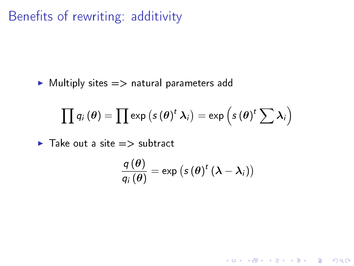### Benefits of rewriting: additivity

 $\blacktriangleright$  Multiply sites  $\implies$  natural parameters add

$$
\prod \mathsf{q}_i\left(\bm{\theta}\right)=\prod \exp\left(s\left(\bm{\theta}\right)^{t}\bm{\lambda}_i\right)=\exp\left(s\left(\bm{\theta}\right)^{t}\sum \bm{\lambda}_i\right)
$$

 $\blacktriangleright$  Take out a site  $\implies$  subtract

$$
\frac{q(\theta)}{q_i(\theta)} = \exp (s(\theta)^t (\lambda - \lambda_i))
$$

K ロ ▶ K @ ▶ K 할 > K 할 > 1 할 > 1 9 Q Q \*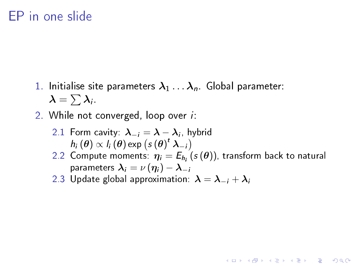#### EP in one slide

- 1. Initialise site parameters  $\lambda_1 \ldots \lambda_n$ . Global parameter:  $\pmb{\lambda} = \sum \pmb{\lambda}_i.$
- 2. While not converged, loop over *i*:
	- 2.1 Form cavity:  $\boldsymbol{\lambda}_{-i} = \boldsymbol{\lambda} \boldsymbol{\lambda}_i$  , hybrid  $h_i(\theta) \propto l_i(\theta) \exp \left(s(\theta)^t \lambda_{-i}\right)$
	- 2.2 Compute moments:  $\eta_i = E_{h_i}\left(s\left(\theta\right)\right)$ , transform back to natural parameters  $\lambda_i = \nu(\eta_i) - \lambda_{-i}$

**KORK EX KEY KEY YOUR** 

2.3 Update global approximation:  $\lambda = \lambda_{-i} + \lambda_i$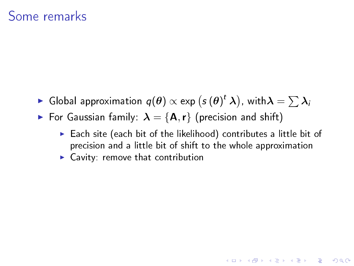- $\blacktriangleright$  Global approximation  $q(\bm{\theta}) \propto \text{exp} \left( s\left(\bm{\theta}\right)^{t} \bm{\lambda} \right)$ , with $\bm{\lambda} = \sum \bm{\lambda}_i$
- For Gaussian family:  $\lambda = \{A, r\}$  (precision and shift)
	- $\triangleright$  Each site (each bit of the likelihood) contributes a little bit of precision and a little bit of shift to the whole approximation

**KORK EX KEY KEY YOUR** 

 $\blacktriangleright$  Cavity: remove that contribution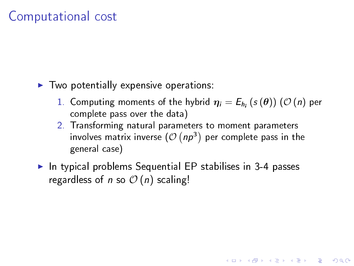#### Computational cost

- $\blacktriangleright$  Two potentially expensive operations:
	- $1.$  Computing moments of the hybrid  $\boldsymbol{\eta}_i = E_{h_i}\left(s\left(\boldsymbol{\theta}\right)\right)\left(\mathcal{O}\left(n\right)\right)$  per complete pass over the data)

**KORK EX KEY KEY YOUR** 

- 2. Transforming natural parameters to moment parameters involves matrix inverse  $(\mathcal{O}(np^3)$  per complete pass in the general case)
- $\blacktriangleright$  In typical problems Sequential EP stabilises in 3-4 passes regardless of n so  $\mathcal{O}(n)$  scaling!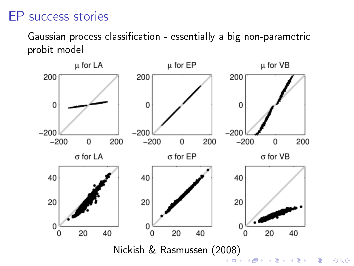#### EP success stories

Gaussian process classification - essentially a big non-parametric probit model



 $299$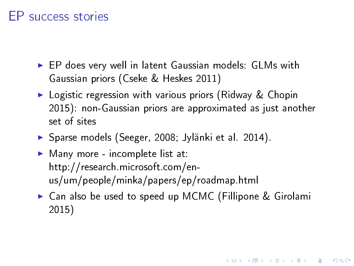#### EP success stories

- ▶ EP does very well in latent Gaussian models: GLMs with Gaussian priors (Cseke & Heskes 2011)
- $\triangleright$  Logistic regression with various priors (Ridway & Chopin 2015): non-Gaussian priors are approximated as just another set of sites
- **>** Sparse models (Seeger, 2008; Jylänki et al. 2014).
- $\blacktriangleright$  Many more incomplete list at: http://research.microsoft.com/enus/um/people/minka/papers/ep/roadmap.html
- ► Can also be used to speed up MCMC (Fillipone & Girolami 2015)

**A DIA K PIA A BIA A BIA A Q A CA**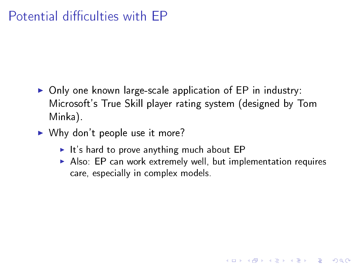### Potential difficulties with FP

- $\triangleright$  Only one known large-scale application of EP in industry: Microsoft's True Skill player rating system (designed by Tom Minka).
- $\triangleright$  Why don't people use it more?
	- $\blacktriangleright$  It's hard to prove anything much about EP
	- $\triangleright$  Also: EP can work extremely well, but implementation requires care, especially in complex models.

K ロ ▶ K @ ▶ K 할 ▶ K 할 ▶ 이 할 → 9 Q @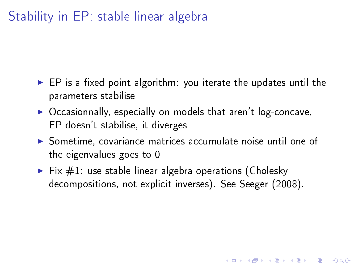### Stability in EP: stable linear algebra

- $\triangleright$  EP is a fixed point algorithm: you iterate the updates until the parameters stabilise
- $\triangleright$  Occasionnally, especially on models that aren't log-concave, EP doesn't stabilise, it diverges
- $\triangleright$  Sometime, covariance matrices accumulate noise until one of the eigenvalues goes to 0

**KORK EX KEY KEY YOUR** 

 $\blacktriangleright$  Fix  $\#1$ : use stable linear algebra operations (Cholesky decompositions, not explicit inverses). See Seeger (2008).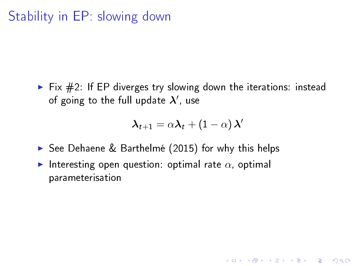$\triangleright$  Fix  $\#2$ : If EP diverges try slowing down the iterations: instead of going to the full update  $\boldsymbol{\lambda}'$ , use

$$
\boldsymbol{\lambda}_{t+1} = \alpha \boldsymbol{\lambda}_t + (1-\alpha) \, \boldsymbol{\lambda}^\prime
$$

**KORK EX KEY KEY YOUR** 

- ▶ See Dehaene & Barthelmé (2015) for why this helps
- Interesting open question: optimal rate  $\alpha$ , optimal parameterisation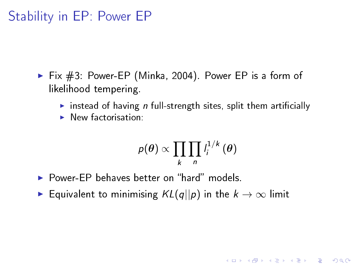#### Stability in EP: Power EP

- $\triangleright$  Fix  $\#3$ : Power-EP (Minka, 2004). Power EP is a form of likelihood tempering.
	- instead of having n full-strength sites, split them artificially
	- $\blacktriangleright$  New factorisation:

$$
p(\theta) \propto \prod_k \prod_n l_i^{1/k}(\theta)
$$

**KORK EX KEY KEY YOUR** 

- $\triangleright$  Power-EP behaves better on "hard" models.
- **►** Equivalent to minimising  $KL(q||p)$  in the  $k \to \infty$  limit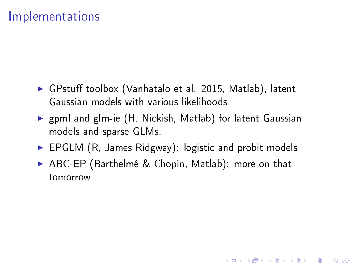#### Implementations

- ▶ GPstuff toolbox (Vanhatalo et al. 2015, Matlab), latent Gaussian models with various likelihoods
- ▶ gpml and glm-ie (H. Nickish, Matlab) for latent Gaussian models and sparse GLMs.
- $\triangleright$  EPGLM (R, James Ridgway): logistic and probit models
- ▶ ABC-EP (Barthelmé & Chopin, Matlab): more on that tomorrow

**A DIA K PIA A BIA A BIA A Q A CA**